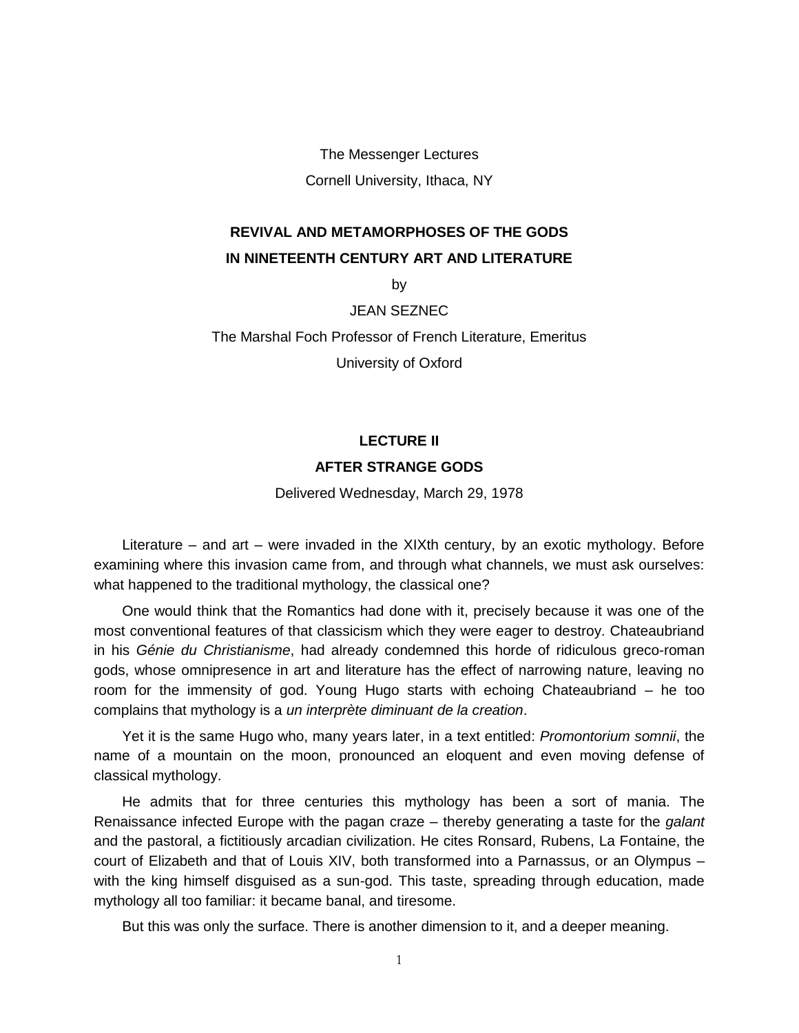The Messenger Lectures Cornell University, Ithaca, NY

## **REVIVAL AND METAMORPHOSES OF THE GODS IN NINETEENTH CENTURY ART AND LITERATURE**

by

JEAN SEZNEC

The Marshal Foch Professor of French Literature, Emeritus

University of Oxford

## **LECTURE II AFTER STRANGE GODS**

Delivered Wednesday, March 29, 1978

Literature – and art – were invaded in the XIXth century, by an exotic mythology. Before examining where this invasion came from, and through what channels, we must ask ourselves: what happened to the traditional mythology, the classical one?

One would think that the Romantics had done with it, precisely because it was one of the most conventional features of that classicism which they were eager to destroy. Chateaubriand in his *Génie du Christianisme*, had already condemned this horde of ridiculous greco-roman gods, whose omnipresence in art and literature has the effect of narrowing nature, leaving no room for the immensity of god. Young Hugo starts with echoing Chateaubriand – he too complains that mythology is a *un interprète diminuant de la creation*.

Yet it is the same Hugo who, many years later, in a text entitled: *Promontorium somnii*, the name of a mountain on the moon, pronounced an eloquent and even moving defense of classical mythology.

He admits that for three centuries this mythology has been a sort of mania. The Renaissance infected Europe with the pagan craze – thereby generating a taste for the *galant* and the pastoral, a fictitiously arcadian civilization. He cites Ronsard, Rubens, La Fontaine, the court of Elizabeth and that of Louis XIV, both transformed into a Parnassus, or an Olympus – with the king himself disguised as a sun-god. This taste, spreading through education, made mythology all too familiar: it became banal, and tiresome.

But this was only the surface. There is another dimension to it, and a deeper meaning.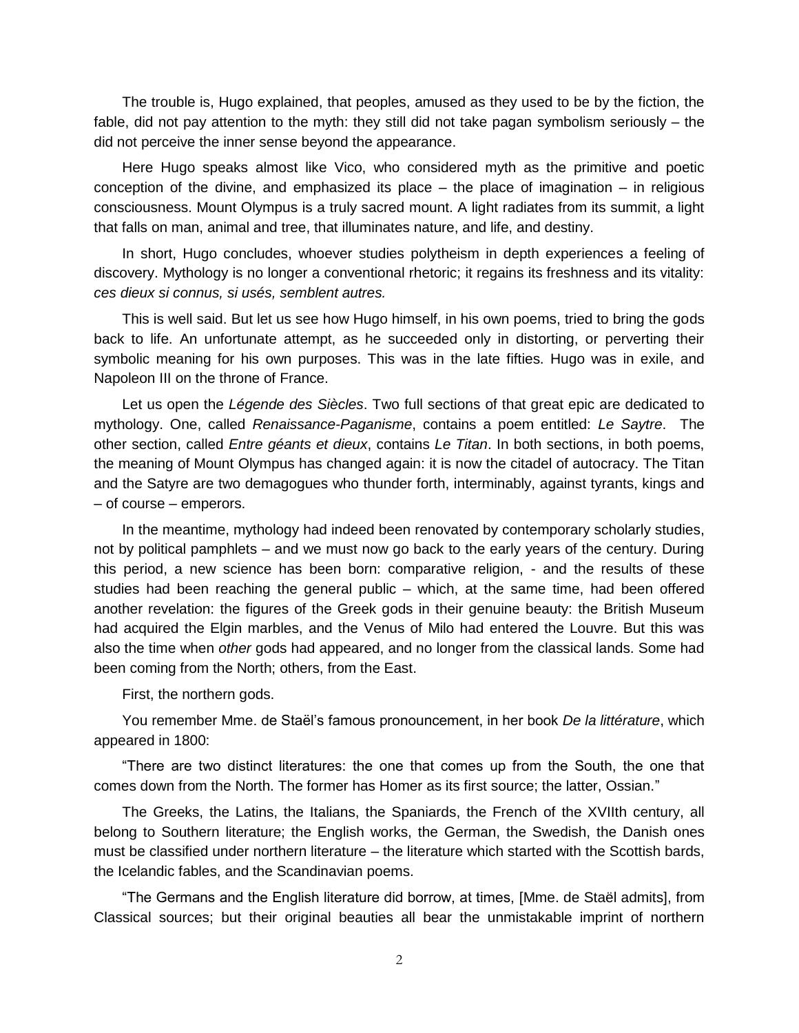The trouble is, Hugo explained, that peoples, amused as they used to be by the fiction, the fable, did not pay attention to the myth: they still did not take pagan symbolism seriously – the did not perceive the inner sense beyond the appearance.

Here Hugo speaks almost like Vico, who considered myth as the primitive and poetic conception of the divine, and emphasized its place  $-$  the place of imagination  $-$  in religious consciousness. Mount Olympus is a truly sacred mount. A light radiates from its summit, a light that falls on man, animal and tree, that illuminates nature, and life, and destiny.

In short, Hugo concludes, whoever studies polytheism in depth experiences a feeling of discovery. Mythology is no longer a conventional rhetoric; it regains its freshness and its vitality: *ces dieux si connus, si usés, semblent autres.*

This is well said. But let us see how Hugo himself, in his own poems, tried to bring the gods back to life. An unfortunate attempt, as he succeeded only in distorting, or perverting their symbolic meaning for his own purposes. This was in the late fifties. Hugo was in exile, and Napoleon III on the throne of France.

Let us open the *Légende des Siècles*. Two full sections of that great epic are dedicated to mythology. One, called *Renaissance-Paganisme*, contains a poem entitled: *Le Saytre*. The other section, called *Entre géants et dieux*, contains *Le Titan*. In both sections, in both poems, the meaning of Mount Olympus has changed again: it is now the citadel of autocracy. The Titan and the Satyre are two demagogues who thunder forth, interminably, against tyrants, kings and – of course – emperors.

In the meantime, mythology had indeed been renovated by contemporary scholarly studies, not by political pamphlets – and we must now go back to the early years of the century. During this period, a new science has been born: comparative religion, - and the results of these studies had been reaching the general public – which, at the same time, had been offered another revelation: the figures of the Greek gods in their genuine beauty: the British Museum had acquired the Elgin marbles, and the Venus of Milo had entered the Louvre. But this was also the time when *other* gods had appeared, and no longer from the classical lands. Some had been coming from the North; others, from the East.

First, the northern gods.

You remember Mme. de Staël's famous pronouncement, in her book *De la littérature*, which appeared in 1800:

"There are two distinct literatures: the one that comes up from the South, the one that comes down from the North. The former has Homer as its first source; the latter, Ossian."

The Greeks, the Latins, the Italians, the Spaniards, the French of the XVIIth century, all belong to Southern literature; the English works, the German, the Swedish, the Danish ones must be classified under northern literature – the literature which started with the Scottish bards, the Icelandic fables, and the Scandinavian poems.

"The Germans and the English literature did borrow, at times, [Mme. de Staël admits], from Classical sources; but their original beauties all bear the unmistakable imprint of northern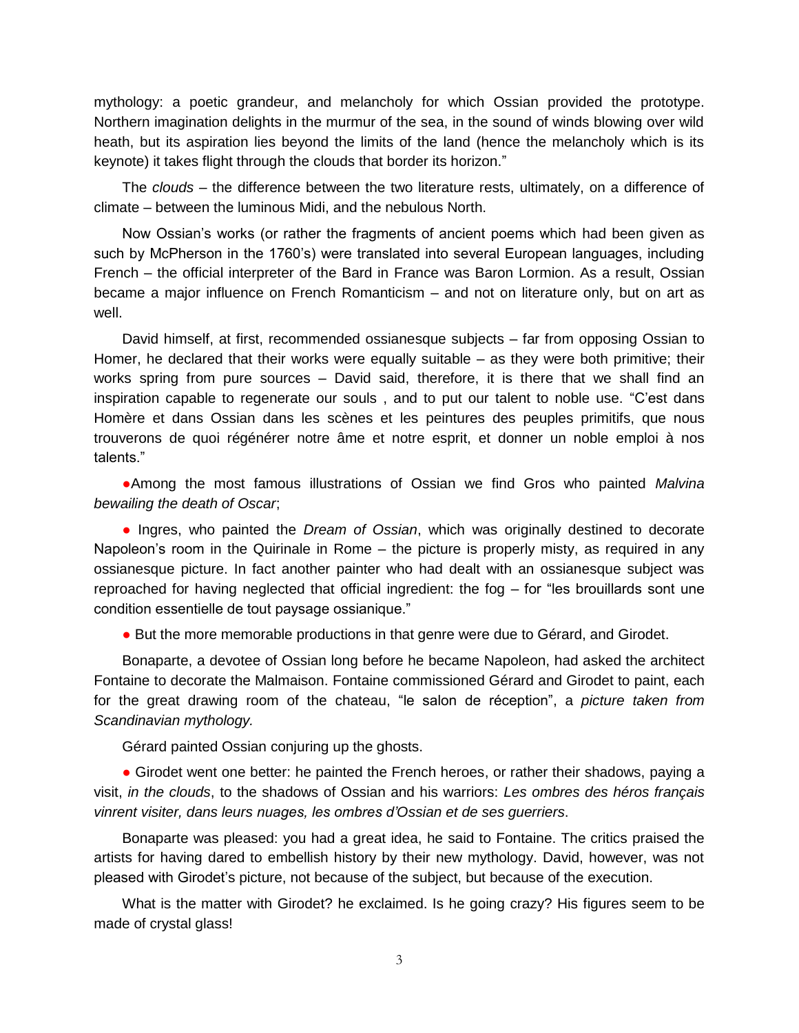mythology: a poetic grandeur, and melancholy for which Ossian provided the prototype. Northern imagination delights in the murmur of the sea, in the sound of winds blowing over wild heath, but its aspiration lies beyond the limits of the land (hence the melancholy which is its keynote) it takes flight through the clouds that border its horizon."

The *clouds* – the difference between the two literature rests, ultimately, on a difference of climate – between the luminous Midi, and the nebulous North.

Now Ossian's works (or rather the fragments of ancient poems which had been given as such by McPherson in the 1760's) were translated into several European languages, including French – the official interpreter of the Bard in France was Baron Lormion. As a result, Ossian became a major influence on French Romanticism – and not on literature only, but on art as well.

David himself, at first, recommended ossianesque subjects – far from opposing Ossian to Homer, he declared that their works were equally suitable – as they were both primitive; their works spring from pure sources – David said, therefore, it is there that we shall find an inspiration capable to regenerate our souls , and to put our talent to noble use. "C'est dans Homère et dans Ossian dans les scènes et les peintures des peuples primitifs, que nous trouverons de quoi régénérer notre âme et notre esprit, et donner un noble emploi à nos talents."

●Among the most famous illustrations of Ossian we find Gros who painted *Malvina bewailing the death of Oscar*;

● Ingres, who painted the *Dream of Ossian*, which was originally destined to decorate Napoleon's room in the Quirinale in Rome – the picture is properly misty, as required in any ossianesque picture. In fact another painter who had dealt with an ossianesque subject was reproached for having neglected that official ingredient: the fog – for "les brouillards sont une condition essentielle de tout paysage ossianique."

● But the more memorable productions in that genre were due to Gérard, and Girodet.

Bonaparte, a devotee of Ossian long before he became Napoleon, had asked the architect Fontaine to decorate the Malmaison. Fontaine commissioned Gérard and Girodet to paint, each for the great drawing room of the chateau, "le salon de réception", a *picture taken from Scandinavian mythology.*

Gérard painted Ossian conjuring up the ghosts.

• Girodet went one better: he painted the French heroes, or rather their shadows, paying a visit, *in the clouds*, to the shadows of Ossian and his warriors: *Les ombres des héros français vinrent visiter, dans leurs nuages, les ombres d'Ossian et de ses guerriers*.

Bonaparte was pleased: you had a great idea, he said to Fontaine. The critics praised the artists for having dared to embellish history by their new mythology. David, however, was not pleased with Girodet's picture, not because of the subject, but because of the execution.

What is the matter with Girodet? he exclaimed. Is he going crazy? His figures seem to be made of crystal glass!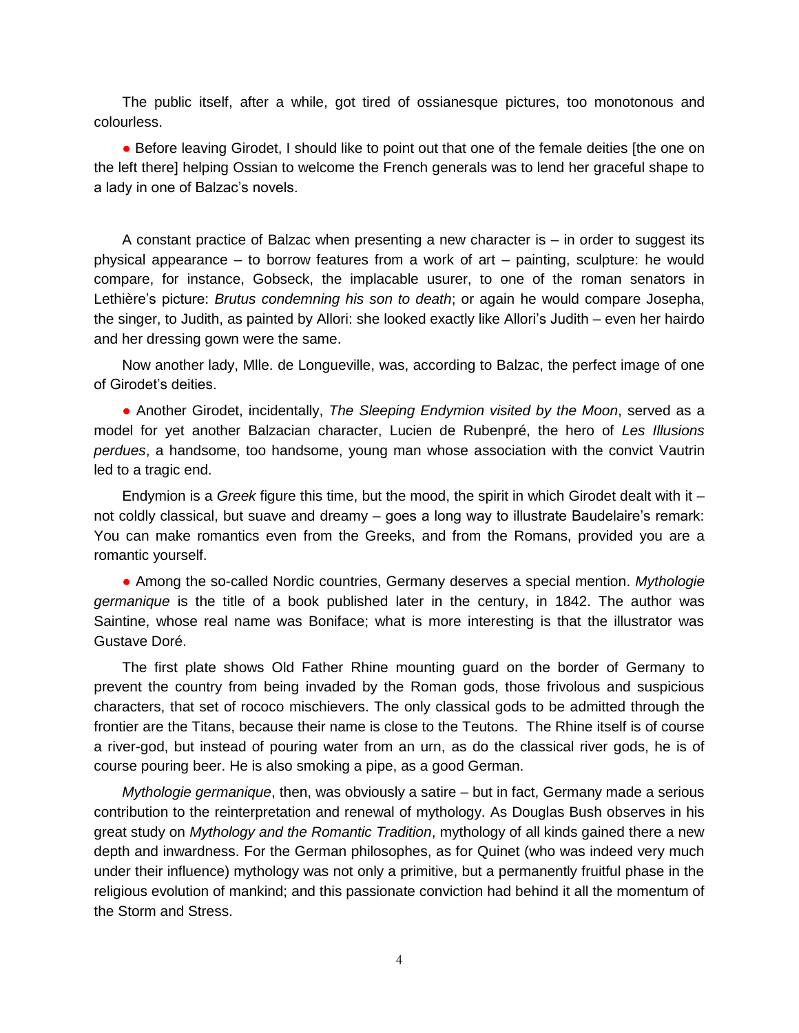The public itself, after a while, got tired of ossianesque pictures, too monotonous and colourless.

● Before leaving Girodet, I should like to point out that one of the female deities [the one on the left there] helping Ossian to welcome the French generals was to lend her graceful shape to a lady in one of Balzac's novels.

A constant practice of Balzac when presenting a new character is – in order to suggest its physical appearance – to borrow features from a work of art – painting, sculpture: he would compare, for instance, Gobseck, the implacable usurer, to one of the roman senators in Lethière's picture: *Brutus condemning his son to death*; or again he would compare Josepha, the singer, to Judith, as painted by Allori: she looked exactly like Allori's Judith – even her hairdo and her dressing gown were the same.

Now another lady, Mlle. de Longueville, was, according to Balzac, the perfect image of one of Girodet's deities.

● Another Girodet, incidentally, *The Sleeping Endymion visited by the Moon*, served as a model for yet another Balzacian character, Lucien de Rubenpré, the hero of *Les Illusions perdues*, a handsome, too handsome, young man whose association with the convict Vautrin led to a tragic end.

Endymion is a *Greek* figure this time, but the mood, the spirit in which Girodet dealt with it – not coldly classical, but suave and dreamy – goes a long way to illustrate Baudelaire's remark: You can make romantics even from the Greeks, and from the Romans, provided you are a romantic yourself.

● Among the so-called Nordic countries, Germany deserves a special mention. *Mythologie germanique* is the title of a book published later in the century, in 1842. The author was Saintine, whose real name was Boniface; what is more interesting is that the illustrator was Gustave Doré.

The first plate shows Old Father Rhine mounting guard on the border of Germany to prevent the country from being invaded by the Roman gods, those frivolous and suspicious characters, that set of rococo mischievers. The only classical gods to be admitted through the frontier are the Titans, because their name is close to the Teutons. The Rhine itself is of course a river-god, but instead of pouring water from an urn, as do the classical river gods, he is of course pouring beer. He is also smoking a pipe, as a good German.

*Mythologie germanique*, then, was obviously a satire – but in fact, Germany made a serious contribution to the reinterpretation and renewal of mythology. As Douglas Bush observes in his great study on *Mythology and the Romantic Tradition*, mythology of all kinds gained there a new depth and inwardness. For the German philosophes, as for Quinet (who was indeed very much under their influence) mythology was not only a primitive, but a permanently fruitful phase in the religious evolution of mankind; and this passionate conviction had behind it all the momentum of the Storm and Stress.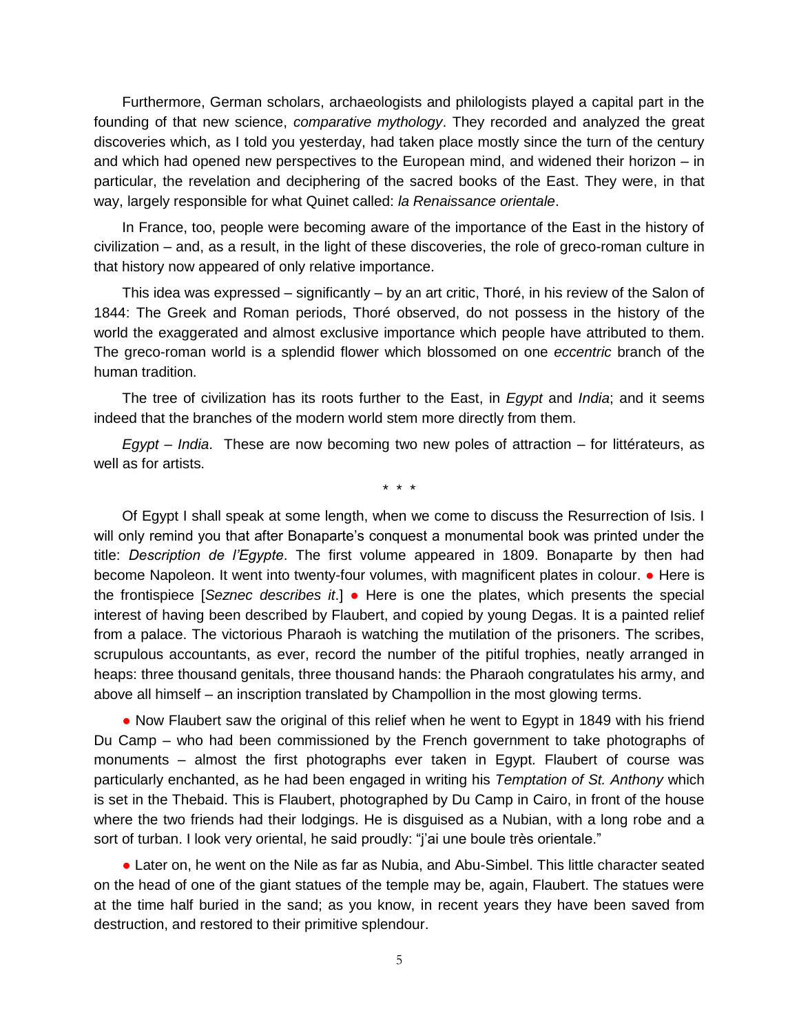Furthermore, German scholars, archaeologists and philologists played a capital part in the founding of that new science, *comparative mythology*. They recorded and analyzed the great discoveries which, as I told you yesterday, had taken place mostly since the turn of the century and which had opened new perspectives to the European mind, and widened their horizon – in particular, the revelation and deciphering of the sacred books of the East. They were, in that way, largely responsible for what Quinet called: *la Renaissance orientale*.

In France, too, people were becoming aware of the importance of the East in the history of civilization – and, as a result, in the light of these discoveries, the role of greco-roman culture in that history now appeared of only relative importance.

This idea was expressed – significantly – by an art critic, Thoré, in his review of the Salon of 1844: The Greek and Roman periods, Thoré observed, do not possess in the history of the world the exaggerated and almost exclusive importance which people have attributed to them. The greco-roman world is a splendid flower which blossomed on one *eccentric* branch of the human tradition.

The tree of civilization has its roots further to the East, in *Egypt* and *India*; and it seems indeed that the branches of the modern world stem more directly from them.

*Egypt* – *India*. These are now becoming two new poles of attraction – for littérateurs, as well as for artists.

\* \* \*

Of Egypt I shall speak at some length, when we come to discuss the Resurrection of Isis. I will only remind you that after Bonaparte's conquest a monumental book was printed under the title: *Description de l'Egypte*. The first volume appeared in 1809. Bonaparte by then had become Napoleon. It went into twenty-four volumes, with magnificent plates in colour. ● Here is the frontispiece [*Seznec describes it*.] ● Here is one the plates, which presents the special interest of having been described by Flaubert, and copied by young Degas. It is a painted relief from a palace. The victorious Pharaoh is watching the mutilation of the prisoners. The scribes, scrupulous accountants, as ever, record the number of the pitiful trophies, neatly arranged in heaps: three thousand genitals, three thousand hands: the Pharaoh congratulates his army, and above all himself – an inscription translated by Champollion in the most glowing terms.

• Now Flaubert saw the original of this relief when he went to Egypt in 1849 with his friend Du Camp – who had been commissioned by the French government to take photographs of monuments – almost the first photographs ever taken in Egypt. Flaubert of course was particularly enchanted, as he had been engaged in writing his *Temptation of St. Anthony* which is set in the Thebaid. This is Flaubert, photographed by Du Camp in Cairo, in front of the house where the two friends had their lodgings. He is disguised as a Nubian, with a long robe and a sort of turban. I look very oriental, he said proudly: "j'ai une boule très orientale."

• Later on, he went on the Nile as far as Nubia, and Abu-Simbel. This little character seated on the head of one of the giant statues of the temple may be, again, Flaubert. The statues were at the time half buried in the sand; as you know, in recent years they have been saved from destruction, and restored to their primitive splendour.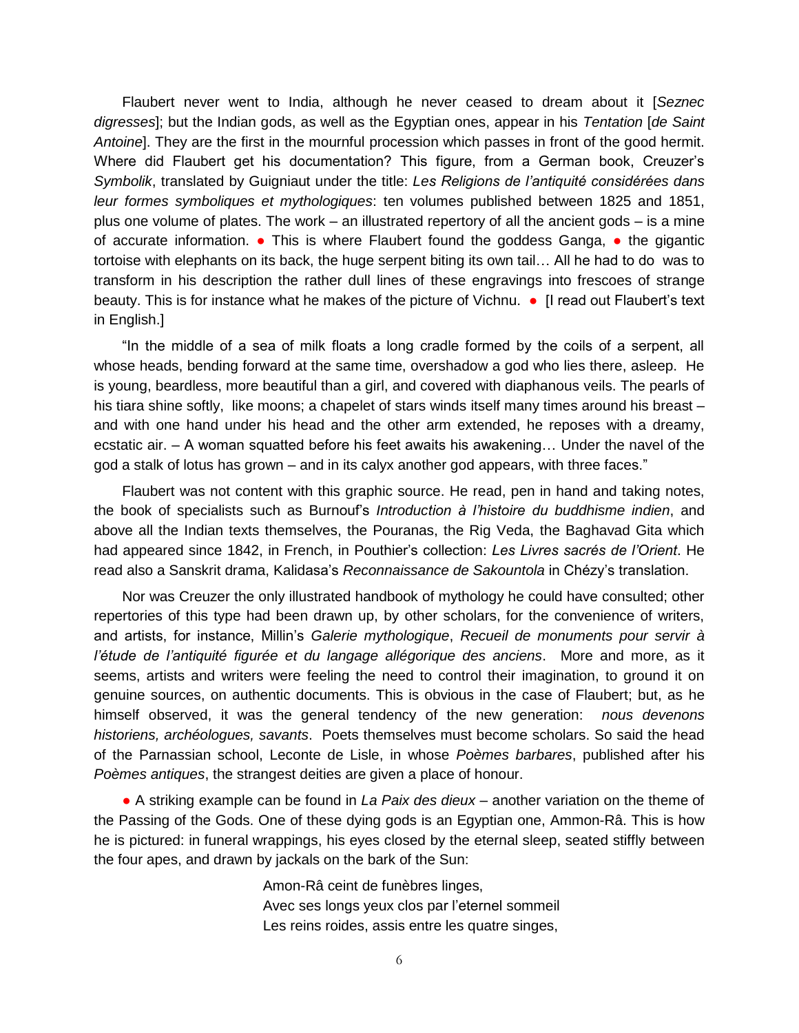Flaubert never went to India, although he never ceased to dream about it [*Seznec digresses*]; but the Indian gods, as well as the Egyptian ones, appear in his *Tentation* [*de Saint Antoine*]. They are the first in the mournful procession which passes in front of the good hermit. Where did Flaubert get his documentation? This figure, from a German book, Creuzer's *Symbolik*, translated by Guigniaut under the title: *Les Religions de l'antiquité considérées dans leur formes symboliques et mythologiques*: ten volumes published between 1825 and 1851, plus one volume of plates. The work – an illustrated repertory of all the ancient gods – is a mine of accurate information. ● This is where Flaubert found the goddess Ganga, ● the gigantic tortoise with elephants on its back, the huge serpent biting its own tail… All he had to do was to transform in his description the rather dull lines of these engravings into frescoes of strange beauty. This is for instance what he makes of the picture of Vichnu. • [I read out Flaubert's text in English.]

"In the middle of a sea of milk floats a long cradle formed by the coils of a serpent, all whose heads, bending forward at the same time, overshadow a god who lies there, asleep. He is young, beardless, more beautiful than a girl, and covered with diaphanous veils. The pearls of his tiara shine softly, like moons; a chapelet of stars winds itself many times around his breast – and with one hand under his head and the other arm extended, he reposes with a dreamy, ecstatic air. – A woman squatted before his feet awaits his awakening… Under the navel of the god a stalk of lotus has grown – and in its calyx another god appears, with three faces."

Flaubert was not content with this graphic source. He read, pen in hand and taking notes, the book of specialists such as Burnouf's *Introduction à l'histoire du buddhisme indien*, and above all the Indian texts themselves, the Pouranas, the Rig Veda, the Baghavad Gita which had appeared since 1842, in French, in Pouthier's collection: *Les Livres sacrés de l'Orient*. He read also a Sanskrit drama, Kalidasa's *Reconnaissance de Sakountola* in Chézy's translation.

Nor was Creuzer the only illustrated handbook of mythology he could have consulted; other repertories of this type had been drawn up, by other scholars, for the convenience of writers, and artists, for instance, Millin's *Galerie mythologique*, *Recueil de monuments pour servir à l'étude de l'antiquité figurée et du langage allégorique des anciens*. More and more, as it seems, artists and writers were feeling the need to control their imagination, to ground it on genuine sources, on authentic documents. This is obvious in the case of Flaubert; but, as he himself observed, it was the general tendency of the new generation: *nous devenons historiens, archéologues, savants*. Poets themselves must become scholars. So said the head of the Parnassian school, Leconte de Lisle, in whose *Poèmes barbares*, published after his *Poèmes antiques*, the strangest deities are given a place of honour.

● A striking example can be found in *La Paix des dieux* – another variation on the theme of the Passing of the Gods. One of these dying gods is an Egyptian one, Ammon-Râ. This is how he is pictured: in funeral wrappings, his eyes closed by the eternal sleep, seated stiffly between the four apes, and drawn by jackals on the bark of the Sun:

> Amon-Râ ceint de funèbres linges, Avec ses longs yeux clos par l'eternel sommeil Les reins roides, assis entre les quatre singes,